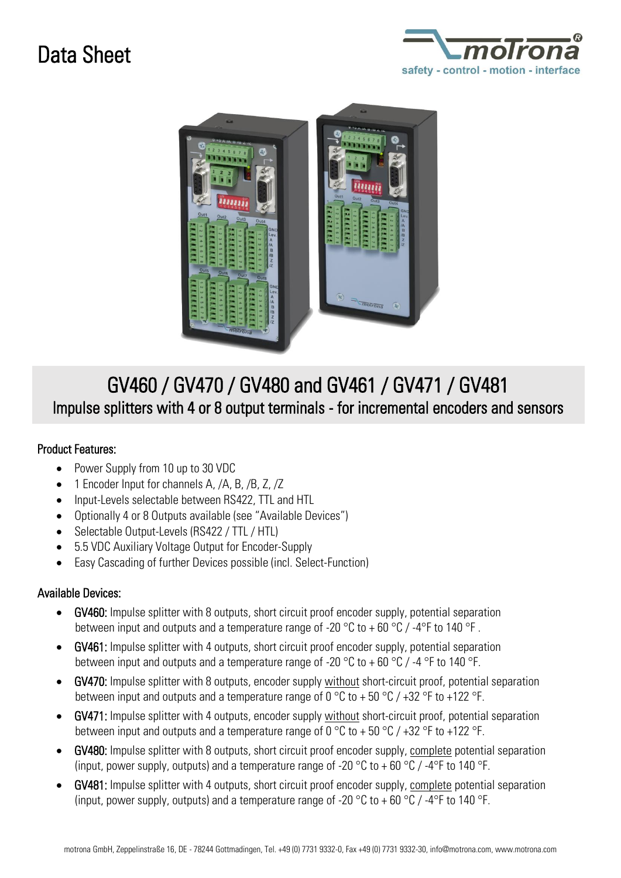## Data Sheet





## GV460 / GV470 / GV480 and GV461 / GV471 / GV481 Impulse splitters with 4 or 8 output terminals - for incremental encoders and sensors

## Product Features:

- Power Supply from 10 up to 30 VDC
- 1 Encoder Input for channels A, /A, B, /B, Z, /Z
- Input-Levels selectable between RS422, TTL and HTL
- Optionally 4 or 8 Outputs available (see "Available Devices")
- Selectable Output-Levels (RS422 / TTL / HTL)
- 5.5 VDC Auxiliary Voltage Output for Encoder-Supply
- Easy Cascading of further Devices possible (incl. Select-Function)

## Available Devices:

- GV460: Impulse splitter with 8 outputs, short circuit proof encoder supply, potential separation between input and outputs and a temperature range of -20  $\degree$ C to + 60  $\degree$ C / -4 $\degree$ F to 140  $\degree$ F.
- GV461: Impulse splitter with 4 outputs, short circuit proof encoder supply, potential separation between input and outputs and a temperature range of -20  $\degree$ C to +60  $\degree$ C / -4  $\degree$ F to 140  $\degree$ F.
- GV470: Impulse splitter with 8 outputs, encoder supply without short-circuit proof, potential separation between input and outputs and a temperature range of 0 °C to + 50 °C / +32 °F to +122 °F.
- GV471: Impulse splitter with 4 outputs, encoder supply without short-circuit proof, potential separation between input and outputs and a temperature range of 0 °C to + 50 °C / +32 °F to +122 °F.
- GV480: Impulse splitter with 8 outputs, short circuit proof encoder supply, complete potential separation (input, power supply, outputs) and a temperature range of -20  $^{\circ}$ C to +60  $^{\circ}$ C / -4 $^{\circ}$ F to 140  $^{\circ}$ F.
- GV481: Impulse splitter with 4 outputs, short circuit proof encoder supply, complete potential separation (input, power supply, outputs) and a temperature range of -20  $\degree$ C to +60  $\degree$ C / -4 $\degree$ F to 140  $\degree$ F.